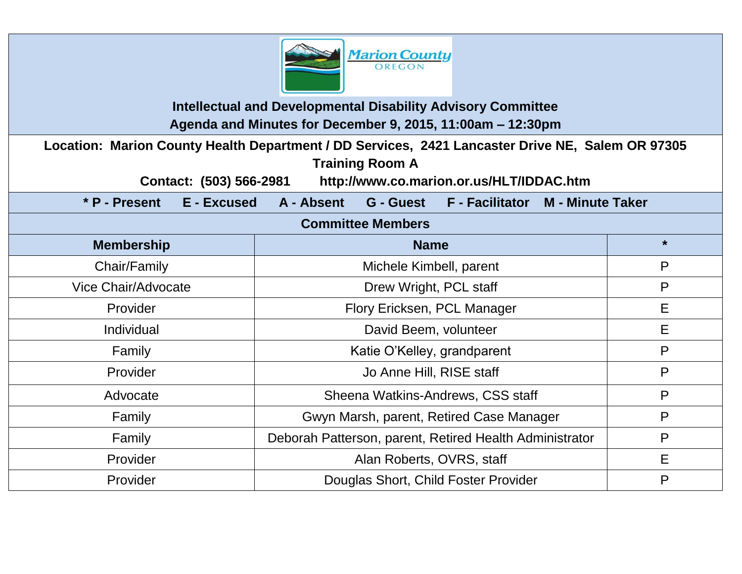

**Intellectual and Developmental Disability Advisory Committee Agenda and Minutes for December 9, 2015, 11:00am – 12:30pm**

**Location: Marion County Health Department / DD Services, 2421 Lancaster Drive NE, Salem OR 97305 Training Room A** 

**Contact: (503) 566-2981 http://www.co.marion.or.us/HLT/IDDAC.htm**

**\* P - Present E - Excused A - Absent G - Guest F - Facilitator M - Minute Taker**

# **Committee Members**

| <b>Membership</b>          | <b>Name</b>                                             | $\star$ |
|----------------------------|---------------------------------------------------------|---------|
| Chair/Family               | Michele Kimbell, parent                                 | P       |
| <b>Vice Chair/Advocate</b> | Drew Wright, PCL staff                                  | P       |
| Provider                   | Flory Ericksen, PCL Manager                             | Е       |
| Individual                 | David Beem, volunteer                                   | Е       |
| Family                     | Katie O'Kelley, grandparent                             | P       |
| Provider                   | Jo Anne Hill, RISE staff                                | P       |
| Advocate                   | Sheena Watkins-Andrews, CSS staff                       | P       |
| Family                     | Gwyn Marsh, parent, Retired Case Manager                | P       |
| Family                     | Deborah Patterson, parent, Retired Health Administrator | P       |
| Provider                   | Alan Roberts, OVRS, staff                               | E       |
| Provider                   | Douglas Short, Child Foster Provider                    | P       |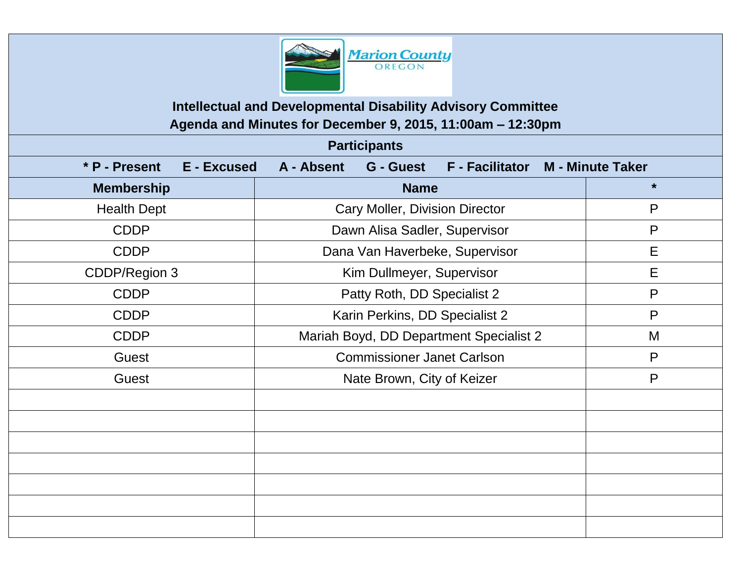

**Intellectual and Developmental Disability Advisory Committee Agenda and Minutes for December 9, 2015, 11:00am – 12:30pm**

| <b>Participants</b>                 |                                                          |                         |  |
|-------------------------------------|----------------------------------------------------------|-------------------------|--|
| * P - Present<br><b>E</b> - Excused | A - Absent<br><b>G</b> - Guest<br><b>F</b> - Facilitator | <b>M - Minute Taker</b> |  |
| <b>Membership</b>                   | <b>Name</b>                                              | $\star$                 |  |
| <b>Health Dept</b>                  | Cary Moller, Division Director                           | P                       |  |
| <b>CDDP</b>                         | Dawn Alisa Sadler, Supervisor                            | P                       |  |
| <b>CDDP</b>                         | Dana Van Haverbeke, Supervisor                           | E                       |  |
| CDDP/Region 3                       | Kim Dullmeyer, Supervisor                                | E                       |  |
| <b>CDDP</b>                         | Patty Roth, DD Specialist 2                              | P                       |  |
| <b>CDDP</b>                         | Karin Perkins, DD Specialist 2                           | $\mathsf{P}$            |  |
| <b>CDDP</b>                         | Mariah Boyd, DD Department Specialist 2                  | M                       |  |
| Guest                               | <b>Commissioner Janet Carlson</b>                        | P                       |  |
| <b>Guest</b>                        | Nate Brown, City of Keizer                               | P                       |  |
|                                     |                                                          |                         |  |
|                                     |                                                          |                         |  |
|                                     |                                                          |                         |  |
|                                     |                                                          |                         |  |
|                                     |                                                          |                         |  |
|                                     |                                                          |                         |  |
|                                     |                                                          |                         |  |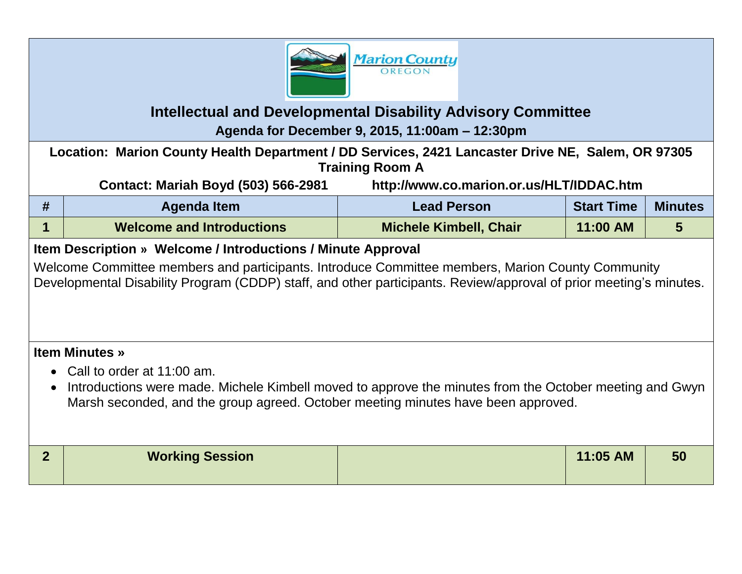

# **Intellectual and Developmental Disability Advisory Committee**

**Agenda for December 9, 2015, 11:00am – 12:30pm**

**Location: Marion County Health Department / DD Services, 2421 Lancaster Drive NE, Salem, OR 97305 Training Room A**

**Contact: Mariah Boyd (503) 566-2981 http://www.co.marion.or.us/HLT/IDDAC.htm**

| Agenda Item                      | <b>Lead Person</b>            | <b>Start Time</b> | <b>Minutes</b> |
|----------------------------------|-------------------------------|-------------------|----------------|
| <b>Welcome and Introductions</b> | <b>Michele Kimbell, Chair</b> | 11:00 AM          |                |

# **Item Description » Welcome / Introductions / Minute Approval**

Welcome Committee members and participants. Introduce Committee members, Marion County Community Developmental Disability Program (CDDP) staff, and other participants. Review/approval of prior meeting's minutes.

#### **Item Minutes »**

- Call to order at 11:00 am.
- Introductions were made. Michele Kimbell moved to approve the minutes from the October meeting and Gwyn Marsh seconded, and the group agreed. October meeting minutes have been approved.

| <b>Working Session</b> | 11:05 AM | 50 |
|------------------------|----------|----|
|                        |          |    |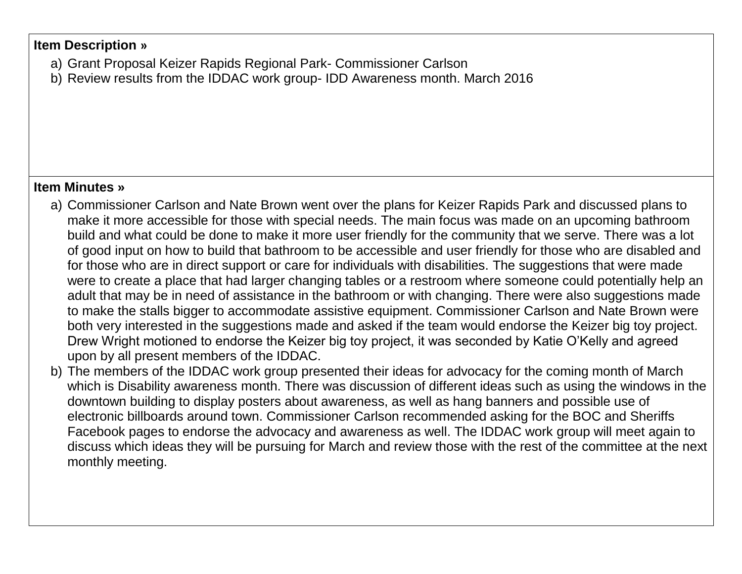#### **Item Description »**

- a) Grant Proposal Keizer Rapids Regional Park- Commissioner Carlson
- b) Review results from the IDDAC work group- IDD Awareness month. March 2016

# **Item Minutes »**

- a) Commissioner Carlson and Nate Brown went over the plans for Keizer Rapids Park and discussed plans to make it more accessible for those with special needs. The main focus was made on an upcoming bathroom build and what could be done to make it more user friendly for the community that we serve. There was a lot of good input on how to build that bathroom to be accessible and user friendly for those who are disabled and for those who are in direct support or care for individuals with disabilities. The suggestions that were made were to create a place that had larger changing tables or a restroom where someone could potentially help an adult that may be in need of assistance in the bathroom or with changing. There were also suggestions made to make the stalls bigger to accommodate assistive equipment. Commissioner Carlson and Nate Brown were both very interested in the suggestions made and asked if the team would endorse the Keizer big toy project. Drew Wright motioned to endorse the Keizer big toy project, it was seconded by Katie O'Kelly and agreed upon by all present members of the IDDAC.
- b) The members of the IDDAC work group presented their ideas for advocacy for the coming month of March which is Disability awareness month. There was discussion of different ideas such as using the windows in the downtown building to display posters about awareness, as well as hang banners and possible use of electronic billboards around town. Commissioner Carlson recommended asking for the BOC and Sheriffs Facebook pages to endorse the advocacy and awareness as well. The IDDAC work group will meet again to discuss which ideas they will be pursuing for March and review those with the rest of the committee at the next monthly meeting.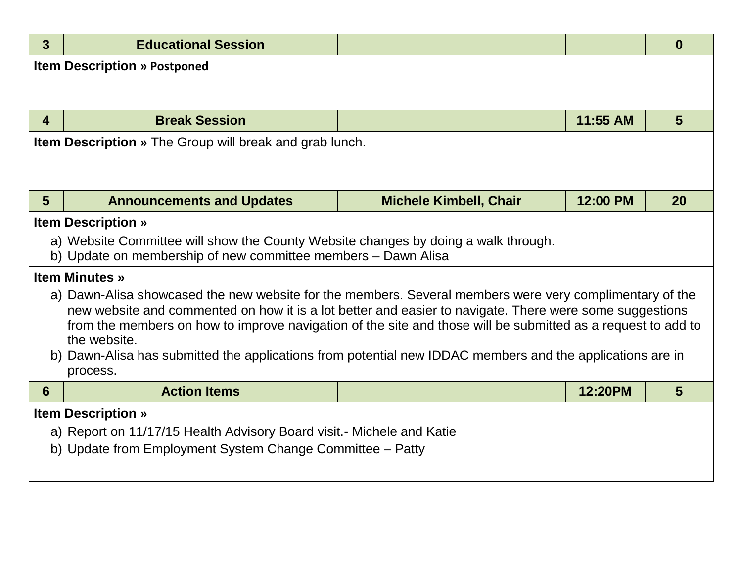| <b>Item Description » Postponed</b>                                                                                                                 |                                                                                                           |  |  |
|-----------------------------------------------------------------------------------------------------------------------------------------------------|-----------------------------------------------------------------------------------------------------------|--|--|
|                                                                                                                                                     |                                                                                                           |  |  |
|                                                                                                                                                     |                                                                                                           |  |  |
| 11:55 AM<br><b>Break Session</b><br>4                                                                                                               | $5\phantom{1}$                                                                                            |  |  |
| <b>Item Description</b> » The Group will break and grab lunch.                                                                                      |                                                                                                           |  |  |
|                                                                                                                                                     |                                                                                                           |  |  |
|                                                                                                                                                     |                                                                                                           |  |  |
| 12:00 PM<br>$5\phantom{1}$<br><b>Announcements and Updates</b><br><b>Michele Kimbell, Chair</b>                                                     | 20                                                                                                        |  |  |
| <b>Item Description »</b>                                                                                                                           |                                                                                                           |  |  |
| a) Website Committee will show the County Website changes by doing a walk through.<br>b) Update on membership of new committee members - Dawn Alisa |                                                                                                           |  |  |
| <b>Item Minutes »</b>                                                                                                                               |                                                                                                           |  |  |
| a) Dawn-Alisa showcased the new website for the members. Several members were very complimentary of the                                             |                                                                                                           |  |  |
| new website and commented on how it is a lot better and easier to navigate. There were some suggestions                                             |                                                                                                           |  |  |
| from the members on how to improve navigation of the site and those will be submitted as a request to add to<br>the website.                        |                                                                                                           |  |  |
|                                                                                                                                                     | b) Dawn-Alisa has submitted the applications from potential new IDDAC members and the applications are in |  |  |
| process.                                                                                                                                            |                                                                                                           |  |  |
| <b>Action Items</b><br>12:20PM<br>6                                                                                                                 | $5\phantom{1}$                                                                                            |  |  |
| <b>Item Description »</b>                                                                                                                           |                                                                                                           |  |  |
| a) Report on 11/17/15 Health Advisory Board visit.- Michele and Katie                                                                               |                                                                                                           |  |  |
| b) Update from Employment System Change Committee – Patty                                                                                           |                                                                                                           |  |  |
|                                                                                                                                                     |                                                                                                           |  |  |